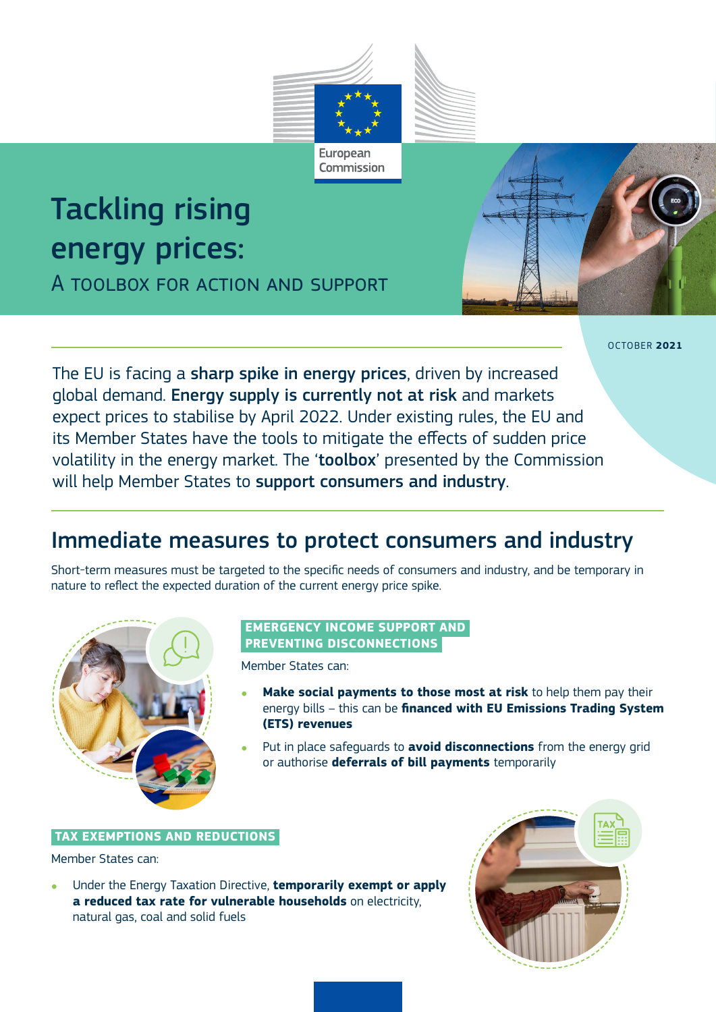

Commission

# Tackling rising energy prices:

A toolbox for action and support



OCTOBER **2021**

The EU is facing a sharp spike in energy prices, driven by increased global demand. Energy supply is currently not at risk and markets expect prices to stabilise by April 2022. Under existing rules, the EU and its Member States have the tools to mitigate the effects of sudden price volatility in the energy market. The 'toolbox' presented by the Commission will help Member States to support consumers and industry.

# Immediate measures to protect consumers and industry

Short-term measures must be targeted to the specific needs of consumers and industry, and be temporary in nature to reflect the expected duration of the current energy price spike.



### **EMERGENCY INCOME SUPPORT AND PREVENTING DISCONNECTIONS**

Member States can:

- **Make social payments to those most at risk** to help them pay their energy bills – this can be **financed with EU Emissions Trading System (ETS) revenues**
- Put in place safeguards to **avoid disconnections** from the energy grid or authorise **deferrals of bill payments** temporarily

#### **TAX EXEMPTIONS AND REDUCTIONS**

Member States can:

Under the Energy Taxation Directive, **temporarily exempt or apply a reduced tax rate for vulnerable households** on electricity, natural gas, coal and solid fuels

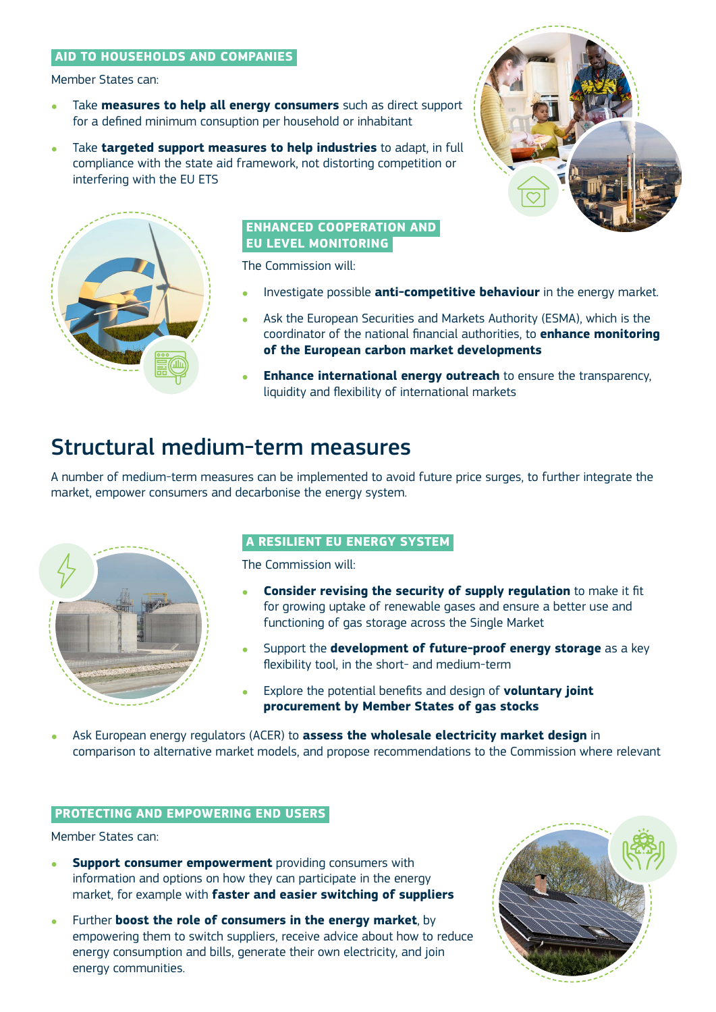# **AID TO HOUSEHOLDS AND COMPANIES**

Member States can:

- Take **measures to help all energy consumers** such as direct support for a defined minimum consuption per household or inhabitant
- Take **targeted support measures to help industries** to adapt, in full compliance with the state aid framework, not distorting competition or interfering with the EU ETS





#### **ENHANCED COOPERATION AND EU LEVEL MONITORING**

The Commission will:

- Investigate possible **anti-competitive behaviour** in the energy market.
- Ask the European Securities and Markets Authority (ESMA), which is the coordinator of the national financial authorities, to **enhance monitoring of the European carbon market developments**
- **Enhance international energy outreach** to ensure the transparency, liquidity and flexibility of international markets

# Structural medium-term measures

A number of medium-term measures can be implemented to avoid future price surges, to further integrate the market, empower consumers and decarbonise the energy system.



# **A RESILIENT EU ENERGY SYSTEM**

The Commission will:

- **Consider revising the security of supply regulation** to make it fit for growing uptake of renewable gases and ensure a better use and functioning of gas storage across the Single Market
- Support the **development of future-proof energy storage** as a key flexibility tool, in the short- and medium-term
- Explore the potential benefits and design of **voluntary joint procurement by Member States of gas stocks**
- Ask European energy regulators (ACER) to **assess the wholesale electricity market design** in comparison to alternative market models, and propose recommendations to the Commission where relevant

# **PROTECTING AND EMPOWERING END USERS**

Member States can:

- **Support consumer empowerment** providing consumers with information and options on how they can participate in the energy market, for example with **faster and easier switching of suppliers**
- Further **boost the role of consumers in the energy market**, by empowering them to switch suppliers, receive advice about how to reduce energy consumption and bills, generate their own electricity, and join energy communities.